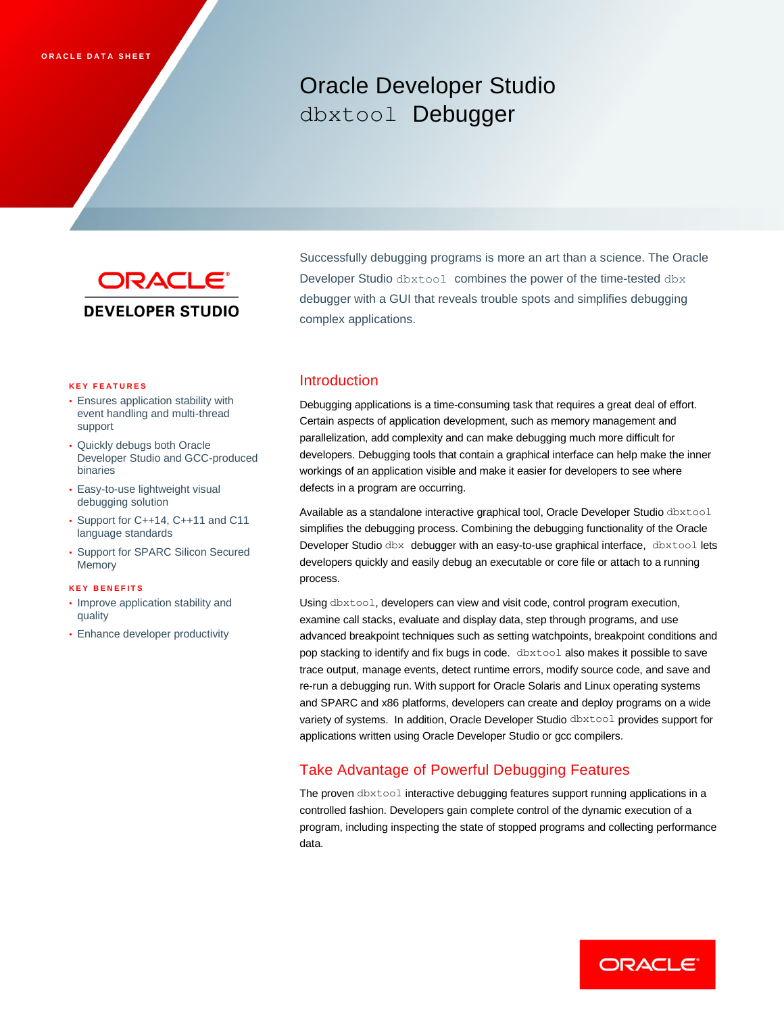# Oracle Developer Studio dbxtool Debugger



Successfully debugging programs is more an art than a science. The Oracle Developer Studio dbxtool combines the power of the time-tested dbx debugger with a GUI that reveals trouble spots and simplifies debugging complex applications.

#### **K E Y F E A T U R E S**

- Ensures application stability with event handling and multi-thread support
- Quickly debugs both Oracle Developer Studio and GCC-produced binaries
- Easy-to-use lightweight visual debugging solution
- Support for C++14, C++11 and C11 language standards
- Support for SPARC Silicon Secured Memory

#### **K E Y B E N E F I T S**

- Improve application stability and quality
- Enhance developer productivity

### Introduction

Debugging applications is a time-consuming task that requires a great deal of effort. Certain aspects of application development, such as memory management and parallelization, add complexity and can make debugging much more difficult for developers. Debugging tools that contain a graphical interface can help make the inner workings of an application visible and make it easier for developers to see where defects in a program are occurring.

Available as a standalone interactive graphical tool, Oracle Developer Studio dbxtool simplifies the debugging process. Combining the debugging functionality of the Oracle Developer Studio dbx debugger with an easy-to-use graphical interface, dbxtool lets developers quickly and easily debug an executable or core file or attach to a running process.

Using dbxtool, developers can view and visit code, control program execution, examine call stacks, evaluate and display data, step through programs, and use advanced breakpoint techniques such as setting watchpoints, breakpoint conditions and pop stacking to identify and fix bugs in code. dbxtool also makes it possible to save trace output, manage events, detect runtime errors, modify source code, and save and re-run a debugging run. With support for Oracle Solaris and Linux operating systems and SPARC and x86 platforms, developers can create and deploy programs on a wide variety of systems. In addition, Oracle Developer Studio dbxtool provides support for applications written using Oracle Developer Studio or gcc compilers.

# Take Advantage of Powerful Debugging Features

The proven dbxtool interactive debugging features support running applications in a controlled fashion. Developers gain complete control of the dynamic execution of a program, including inspecting the state of stopped programs and collecting performance data.

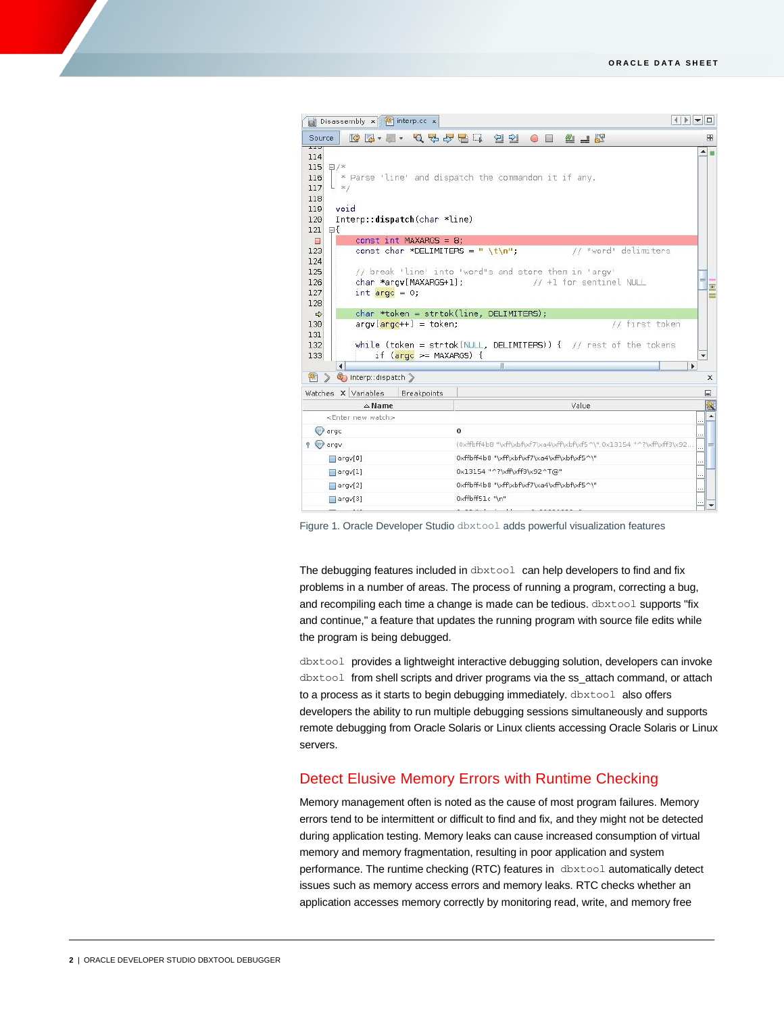| Disassembly x 4 Tinterp.cc x                                        |                                                                             | $\begin{array}{c c c c c c} \hline & & & & & & \\ \hline & & & & & & \\ \hline & & & & & & \\ \hline & & & & & & & \\ \hline & & & & & & & \\ \hline & & & & & & & \\ \hline & & & & & & & \\ \hline & & & & & & & \\ \hline & & & & & & & & \\ \hline & & & & & & & & \\ \hline & & & & & & & & \\ \hline & & & & & & & & & \\ \hline \end{array}$ |
|---------------------------------------------------------------------|-----------------------------------------------------------------------------|-----------------------------------------------------------------------------------------------------------------------------------------------------------------------------------------------------------------------------------------------------------------------------------------------------------------------------------------------------|
| Source                                                              | $\frac{1}{2}$ $\frac{1}{2}$                                                 | ₩                                                                                                                                                                                                                                                                                                                                                   |
| 11J<br>114<br>115<br>$\Box$ /*<br>116<br>117<br>$L \neq$<br>118     | $ $ * Parse 'line' and dispatch the commandon it if any.                    | $\blacktriangle$                                                                                                                                                                                                                                                                                                                                    |
| void<br>119<br>Interp::dispatch(char *line)<br>120<br>121<br>⊟{     |                                                                             |                                                                                                                                                                                                                                                                                                                                                     |
| const int MAXARGS = $8$ :<br>$\Box$                                 |                                                                             |                                                                                                                                                                                                                                                                                                                                                     |
| 123<br>const char *DELIMITERS = " \t\n";<br>124                     | // "word" delimiters                                                        |                                                                                                                                                                                                                                                                                                                                                     |
| 125                                                                 | // break 'line' into "word"s and store them in 'argy'                       |                                                                                                                                                                                                                                                                                                                                                     |
| char *arqv[MAXARGS+1];<br>126                                       | // +1 for sentinel NULL                                                     | $\equiv$                                                                                                                                                                                                                                                                                                                                            |
| 127<br>int $\text{argc} = 0$ ;                                      |                                                                             |                                                                                                                                                                                                                                                                                                                                                     |
| 128                                                                 |                                                                             |                                                                                                                                                                                                                                                                                                                                                     |
| $\Rightarrow$                                                       | char *token = strtok(line, DELIMITERS);                                     |                                                                                                                                                                                                                                                                                                                                                     |
| $\arg(y \left[\arccos\frac{1}{2} + 1\right] = \text{token};$<br>130 | first token<br>11                                                           |                                                                                                                                                                                                                                                                                                                                                     |
| 131                                                                 |                                                                             |                                                                                                                                                                                                                                                                                                                                                     |
| 132<br>if $(\text{argc} >= \text{MAXARGS})$ {<br>133                | while (token = strtok(NULL, DELIMITERS)) { $\frac{1}{2}$ rest of the tokens | ۰                                                                                                                                                                                                                                                                                                                                                   |
| $\blacktriangleleft$                                                | $\mathbb{I}$                                                                | $\blacktriangleright$                                                                                                                                                                                                                                                                                                                               |
| therp::dispatch<br>卿<br>$\mathbb{R}$                                |                                                                             |                                                                                                                                                                                                                                                                                                                                                     |
| Watches X Variables<br><b>Breakpoints</b>                           |                                                                             | ⊟                                                                                                                                                                                                                                                                                                                                                   |
| $\triangle$ Name                                                    | Value                                                                       |                                                                                                                                                                                                                                                                                                                                                     |
| <enter new="" watch=""></enter>                                     |                                                                             |                                                                                                                                                                                                                                                                                                                                                     |
| $\leftrightarrow$ argo                                              | $\bf{0}$                                                                    |                                                                                                                                                                                                                                                                                                                                                     |
| $9$ $\odot$ argv                                                    | (0xffbff4b8 "\xff\xbf\xf7\xa4\xff\xbf\xf5^\",0x13154 "^?\xff\xff3\x92       |                                                                                                                                                                                                                                                                                                                                                     |
| $\Box$ argv $[0]$                                                   | 0xffbff4b8 "\xff\xbf\xf7\xa4\xff\xbf\xf5^\"                                 | $\ldots$                                                                                                                                                                                                                                                                                                                                            |
| $\Box$ argv $[1]$                                                   | 0x13154 "^?\xff\xff3\x92^T@"                                                | $\cdots$                                                                                                                                                                                                                                                                                                                                            |
| $\Box$ argv $[2]$                                                   | 0xffbff4b8 "\xff\xbf\xf7\xa4\xff\xbf\xf5^\"                                 |                                                                                                                                                                                                                                                                                                                                                     |
| $\Box$ argv $[3]$                                                   | 0xffbff51c "\n"                                                             |                                                                                                                                                                                                                                                                                                                                                     |
|                                                                     |                                                                             |                                                                                                                                                                                                                                                                                                                                                     |

Figure 1. Oracle Developer Studio dbxtool adds powerful visualization features

The debugging features included in dbxtool can help developers to find and fix problems in a number of areas. The process of running a program, correcting a bug, and recompiling each time a change is made can be tedious. dbxtool supports "fix and continue," a feature that updates the running program with source file edits while the program is being debugged.

dbxtool provides a lightweight interactive debugging solution, developers can invoke dbxtool from shell scripts and driver programs via the ss\_attach command, or attach to a process as it starts to begin debugging immediately. dbxtool also offers developers the ability to run multiple debugging sessions simultaneously and supports remote debugging from Oracle Solaris or Linux clients accessing Oracle Solaris or Linux servers.

# Detect Elusive Memory Errors with Runtime Checking

Memory management often is noted as the cause of most program failures. Memory errors tend to be intermittent or difficult to find and fix, and they might not be detected during application testing. Memory leaks can cause increased consumption of virtual memory and memory fragmentation, resulting in poor application and system performance. The runtime checking (RTC) features in dbxtool automatically detect issues such as memory access errors and memory leaks. RTC checks whether an application accesses memory correctly by monitoring read, write, and memory free